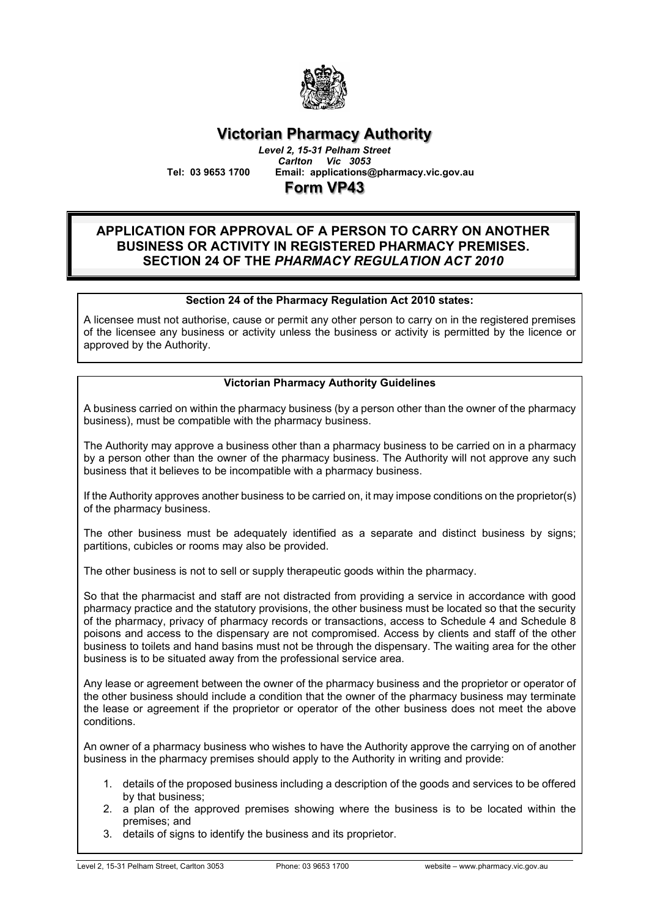

### **Victorian Pharmacy Authority** *Level 2, 15-31 Pelham Street*

*Carlton Vic 3053* **Tel: 03 9653 1700 Email: applications@pharmacy.vic.gov.au**

**Form VP43**

#### **APPLICATION FOR APPROVAL OF A PERSON TO CARRY ON ANOTHER BUSINESS OR ACTIVITY IN REGISTERED PHARMACY PREMISES. SECTION 24 OF THE** *PHARMACY REGULATION ACT 2010*

#### **Section 24 of the Pharmacy Regulation Act 2010 states:**

A licensee must not authorise, cause or permit any other person to carry on in the registered premises of the licensee any business or activity unless the business or activity is permitted by the licence or approved by the Authority.

#### **Victorian Pharmacy Authority Guidelines**

A business carried on within the pharmacy business (by a person other than the owner of the pharmacy business), must be compatible with the pharmacy business.

The Authority may approve a business other than a pharmacy business to be carried on in a pharmacy by a person other than the owner of the pharmacy business. The Authority will not approve any such business that it believes to be incompatible with a pharmacy business.

If the Authority approves another business to be carried on, it may impose conditions on the proprietor(s) of the pharmacy business.

The other business must be adequately identified as a separate and distinct business by signs; partitions, cubicles or rooms may also be provided.

The other business is not to sell or supply therapeutic goods within the pharmacy.

So that the pharmacist and staff are not distracted from providing a service in accordance with good pharmacy practice and the statutory provisions, the other business must be located so that the security of the pharmacy, privacy of pharmacy records or transactions, access to Schedule 4 and Schedule 8 poisons and access to the dispensary are not compromised. Access by clients and staff of the other business to toilets and hand basins must not be through the dispensary. The waiting area for the other business is to be situated away from the professional service area.

Any lease or agreement between the owner of the pharmacy business and the proprietor or operator of the other business should include a condition that the owner of the pharmacy business may terminate the lease or agreement if the proprietor or operator of the other business does not meet the above conditions.

An owner of a pharmacy business who wishes to have the Authority approve the carrying on of another business in the pharmacy premises should apply to the Authority in writing and provide:

- 1. details of the proposed business including a description of the goods and services to be offered by that business;
- 2. a plan of the approved premises showing where the business is to be located within the premises; and
- 3. details of signs to identify the business and its proprietor.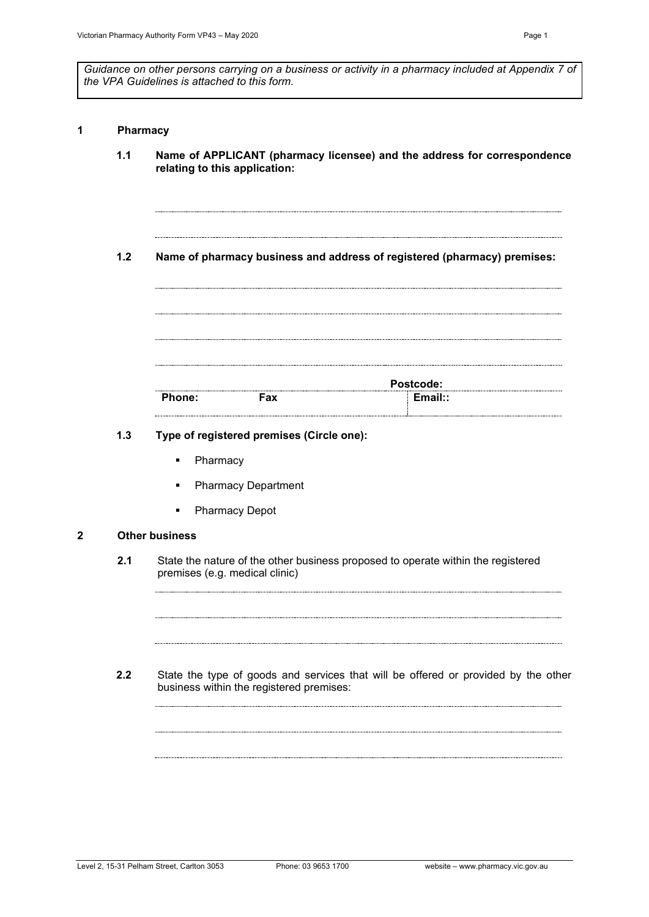*Guidance on other persons carrying on a business or activity in a pharmacy included at Appendix 7 of the VPA Guidelines is attached to this form.*

#### **1 Pharmacy**

- **1.1 Name of APPLICANT (pharmacy licensee) and the address for correspondence relating to this application:**
- **1.2 Name of pharmacy business and address of registered (pharmacy) premises:**

|        | <b>Postcode:</b> |        |  |  |  |
|--------|------------------|--------|--|--|--|
| Phone: | Fax              | Email: |  |  |  |

#### **1.3 Type of registered premises (Circle one):**

- Pharmacy
- **Pharmacy Department**
- **•** Pharmacy Depot

#### **2 Other business**

- **2.1** State the nature of the other business proposed to operate within the registered premises (e.g. medical clinic)
- **2.2** State the type of goods and services that will be offered or provided by the other business within the registered premises: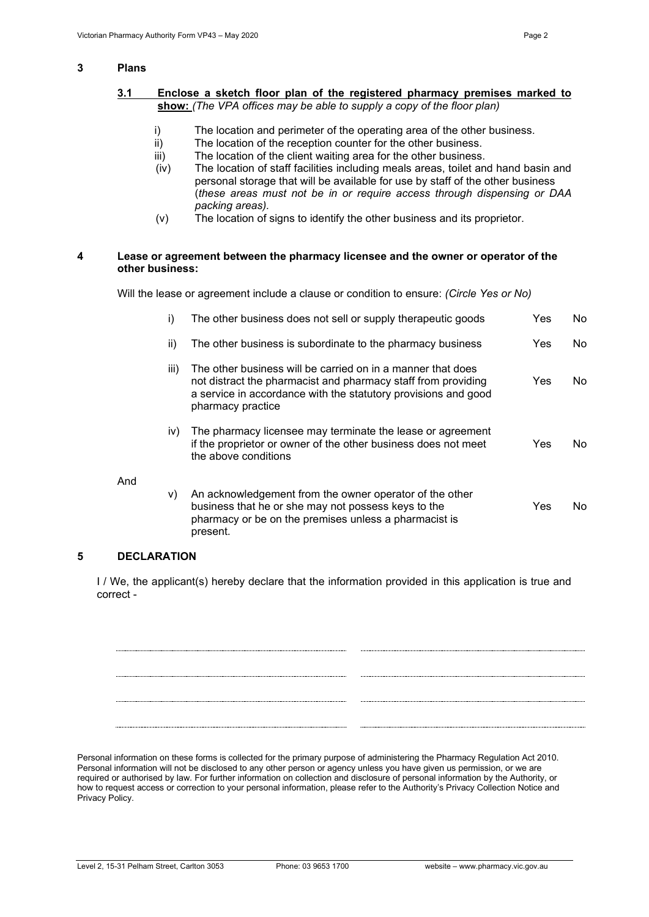#### **3 Plans**

- i) The location and perimeter of the operating area of the other business.
- ii) The location of the reception counter for the other business.<br>iii) The location of the client waiting area for the other business
- The location of the client waiting area for the other business.
- (iv) The location of staff facilities including meals areas, toilet and hand basin and personal storage that will be available for use by staff of the other business (*these areas must not be in or require access through dispensing or DAA packing areas).*
- (v) The location of signs to identify the other business and its proprietor.

#### **4 Lease or agreement between the pharmacy licensee and the owner or operator of the other business:**

Will the lease or agreement include a clause or condition to ensure: *(Circle Yes or No)*

| i)   | The other business does not sell or supply therapeutic goods                                                                                                                                                        | Yes | No. |
|------|---------------------------------------------------------------------------------------------------------------------------------------------------------------------------------------------------------------------|-----|-----|
| ii)  | The other business is subordinate to the pharmacy business                                                                                                                                                          | Yes | No. |
| iii) | The other business will be carried on in a manner that does<br>not distract the pharmacist and pharmacy staff from providing<br>a service in accordance with the statutory provisions and good<br>pharmacy practice | Yes | No. |
| iv)  | The pharmacy licensee may terminate the lease or agreement<br>if the proprietor or owner of the other business does not meet<br>the above conditions                                                                | Yes | No. |
| V)   | An acknowledgement from the owner operator of the other<br>business that he or she may not possess keys to the<br>pharmacy or be on the premises unless a pharmacist is<br>present.                                 | Yes | No. |

#### **5 DECLARATION**

And

I / We, the applicant(s) hereby declare that the information provided in this application is true and correct -

Personal information on these forms is collected for the primary purpose of administering the Pharmacy Regulation Act 2010. Personal information will not be disclosed to any other person or agency unless you have given us permission, or we are required or authorised by law. For further information on collection and disclosure of personal information by the Authority, or how to request access or correction to your personal information, please refer to the Authority's Privacy Collection Notice and Privacy Policy.